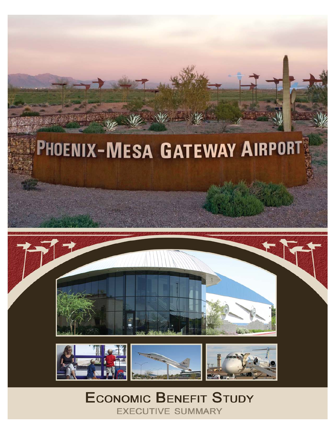



# **ECONOMIC BENEFIT STUDY EXECUTIVE SUMMARY**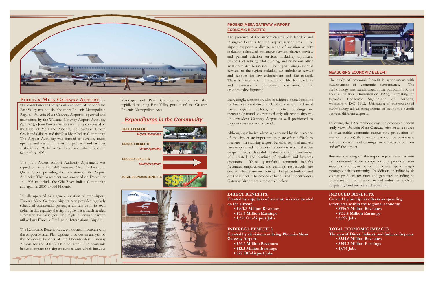The study of economic benefit is synonymous with measurement of economic performance. The methodology was standardized in the publication by the Federal Aviation Administration (FAA), Estimating the Regional Economic Significance of Airports, Washington, D.C., 1992. Utilization of this prescribed methodology allows comparisons of economic benefit between different airports.

Following the FAA methodology, the economic benefit study views Phoenix-Mesa Gateway Airport as a source of measurable economic output (the production of aviation services) that creates revenues for businesses, and employment and earnings for employees both on and off the airport.

Business spending on the airport injects revenues into the community when companies buy products from suppliers and again when employees spend wages throughout the community. In addition, spending by air visitors produces revenues and generates spending by businesses in non-aviation related industries such as hospitality, food service, and recreation.

#### **DIRECT BENEFITS**:

**Created by suppliers of aviation services located on the airport.**

- **\$201.3 Million Revenues**
- **\$73.4 Million Earnings**
- **1,251 On-Airport Jobs**

#### **INDIRECT BENEFITS**:

**Created by air visitors utilizing Phoenix-Mesa Gateway Airport.**

- **\$36.6 Million Revenues**
- **\$13.3 Million Earnings**
- **527 Off-Airport Jobs**



#### **INDUCED BENEFITS**:

**Created by multiplier effects as spending reticulates within the regional economy.**

- **\$296.7 Million Revenues**
- **\$112.5 Million Earnings**
- **2,297 Jobs**

#### **TOTAL ECONOMIC IMPACTS**:

**The sum of Direct, Indirect, and Induced Impacts.**

- **\$534.6 Million Revenues**
- **\$209.2 Million Earnings**
- **4,074 Jobs**

### **PHOENIX-MESA GATEWAY AIRPORT ECONOMIC BENEFITS**

#### **MEASURING ECONOMIC BENEFIT**



## **PHOENIX-MESA GATEWAY AIRPORT** is a

vital contributor to the dynamic economy of not only the East Valley area but also the entire Phoenix Metropolitan Region. Phoenix-Mesa Gateway Airport is operated and maintained by the Williams Gateway Airport Authority (WGAA), a Joint Powers Airport Authority comprised of the Cities of Mesa and Phoenix, the Towns of Queen Creek and Gilbert, and the Gila River Indian Community. The Airport Authority was formed to develop, reuse, operate, and maintain the airport property and facilities at the former Williams Air Force Base, which closed in September 1993.

Increasingly, airports are also considered prime locations for businesses not directly related to aviation. Industrial parks, logistics facilities, and office buildings are increasingly found on or immediately adjacent to airports. Phoenix-Mesa Gateway Airport is well positioned to support these economic trends.

The Joint Powers Airport Authority Agreement was signed on May 19, 1994 between Mesa, Gilbert, and Queen Creek, providing the formation of the Airport Authority. This Agreement was amended on December 14, 1995 to include the Gila River Indian Community, and again in 2006 to add Phoenix.

Initially operated as a general aviation reliever airport, Phoenix-Mesa Gateway Airport now provides regularly scheduled commercial passenger air service in its own right. In this capacity, the airport provides a much needed alternative for passengers who might otherwise have to utilize busy Phoenix Sky Harbor International Airport.

The Economic Benefit Study, conducted in concert with the Airport Master Plan Update, provides an analysis of the economic benefits of the Phoenix-Mesa Gateway Airport for the 2007/2008 timeframe. The economic benefits impact the airport service area which includes

Maricopa and Pinal Counties centered on the rapidly-developing East Valley portion of the Greater Phoenix Metropolitan Area.

# *Expenditures in the Community*

The presence of the airport creates both tangible and intangible benefits for the airport service area. The airport supports a diverse range of aviation activity including scheduled passenger service, charter service, and general aviation services, including significant business jet activity, pilot training, and numerous other aviation-related businesses. The airport brings essential services to the region including air ambulance service and support for law enforcement and fire control. These services raise the quality of life for residents and maintain a competitive environment for economic development.





Although qualitative advantages created by the presence of the airport are important, they are often difficult to measure. In studying airport benefits, regional analysts have emphasized indicators of economic activity that can be quantified, such as dollar value of output, number of jobs created, and earnings of workers and business operators. These quantifiable economic benefits (revenues, employment, and earnings, respectively) are created when economic activity takes place both on and off the airport. The economic benefits of Phoenix-Mesa Gateway Airport are summarized below: